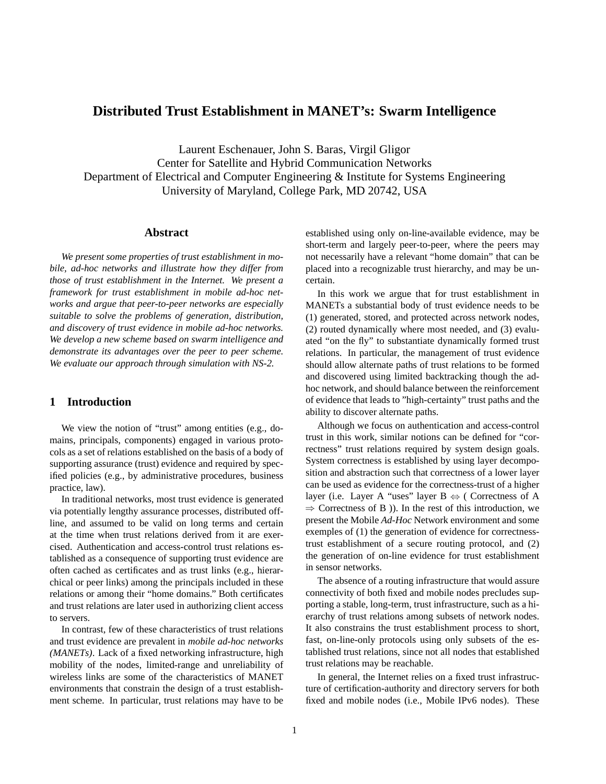# **Distributed Trust Establishment in MANET's: Swarm Intelligence**

Laurent Eschenauer, John S. Baras, Virgil Gligor Center for Satellite and Hybrid Communication Networks Department of Electrical and Computer Engineering & Institute for Systems Engineering University of Maryland, College Park, MD 20742, USA

#### **Abstract**

*We present some properties of trust establishment in mobile, ad-hoc networks and illustrate how they differ from those of trust establishment in the Internet. We present a framework for trust establishment in mobile ad-hoc networks and argue that peer-to-peer networks are especially suitable to solve the problems of generation, distribution, and discovery of trust evidence in mobile ad-hoc networks. We develop a new scheme based on swarm intelligence and demonstrate its advantages over the peer to peer scheme. We evaluate our approach through simulation with NS-2.*

# **1 Introduction**

We view the notion of "trust" among entities (e.g., domains, principals, components) engaged in various protocols as a set of relations established on the basis of a body of supporting assurance (trust) evidence and required by specified policies (e.g., by administrative procedures, business practice, law).

In traditional networks, most trust evidence is generated via potentially lengthy assurance processes, distributed offline, and assumed to be valid on long terms and certain at the time when trust relations derived from it are exercised. Authentication and access-control trust relations established as a consequence of supporting trust evidence are often cached as certificates and as trust links (e.g., hierarchical or peer links) among the principals included in these relations or among their "home domains." Both certificates and trust relations are later used in authorizing client access to servers.

In contrast, few of these characteristics of trust relations and trust evidence are prevalent in *mobile ad-hoc networks (MANETs)*. Lack of a fixed networking infrastructure, high mobility of the nodes, limited-range and unreliability of wireless links are some of the characteristics of MANET environments that constrain the design of a trust establishment scheme. In particular, trust relations may have to be

established using only on-line-available evidence, may be short-term and largely peer-to-peer, where the peers may not necessarily have a relevant "home domain" that can be placed into a recognizable trust hierarchy, and may be uncertain.

In this work we argue that for trust establishment in MANETs a substantial body of trust evidence needs to be (1) generated, stored, and protected across network nodes, (2) routed dynamically where most needed, and (3) evaluated "on the fly" to substantiate dynamically formed trust relations. In particular, the management of trust evidence should allow alternate paths of trust relations to be formed and discovered using limited backtracking though the adhoc network, and should balance between the reinforcement of evidence that leads to "high-certainty" trust paths and the ability to discover alternate paths.

Although we focus on authentication and access-control trust in this work, similar notions can be defined for "correctness" trust relations required by system design goals. System correctness is established by using layer decomposition and abstraction such that correctness of a lower layer can be used as evidence for the correctness-trust of a higher layer (i.e. Layer A "uses" layer  $B \Leftrightarrow$  ( Correctness of A  $\Rightarrow$  Correctness of B )). In the rest of this introduction, we present the Mobile *Ad-Hoc* Network environment and some exemples of (1) the generation of evidence for correctnesstrust establishment of a secure routing protocol, and (2) the generation of on-line evidence for trust establishment in sensor networks.

The absence of a routing infrastructure that would assure connectivity of both fixed and mobile nodes precludes supporting a stable, long-term, trust infrastructure, such as a hierarchy of trust relations among subsets of network nodes. It also constrains the trust establishment process to short, fast, on-line-only protocols using only subsets of the established trust relations, since not all nodes that established trust relations may be reachable.

In general, the Internet relies on a fixed trust infrastructure of certification-authority and directory servers for both fixed and mobile nodes (i.e., Mobile IPv6 nodes). These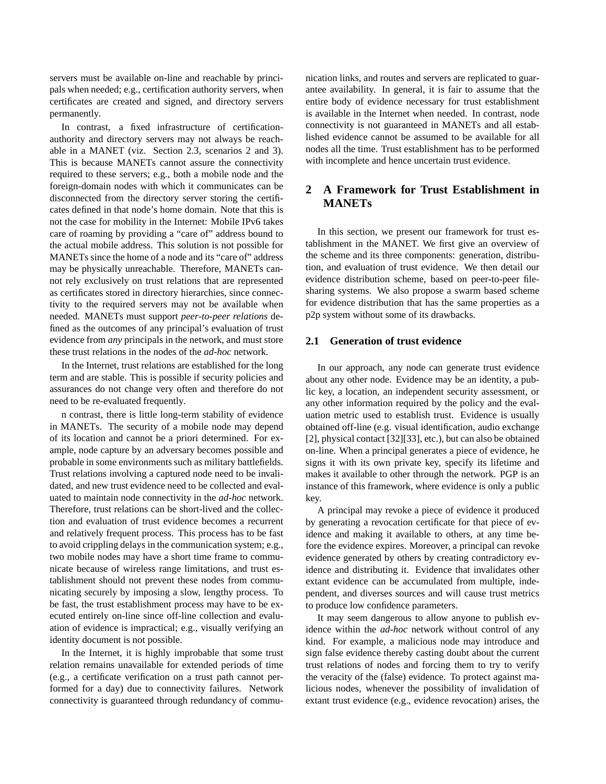servers must be available on-line and reachable by principals when needed; e.g., certification authority servers, when certificates are created and signed, and directory servers permanently.

In contrast, a fixed infrastructure of certificationauthority and directory servers may not always be reachable in a MANET (viz. Section 2.3, scenarios 2 and 3). This is because MANETs cannot assure the connectivity required to these servers; e.g., both a mobile node and the foreign-domain nodes with which it communicates can be disconnected from the directory server storing the certificates defined in that node's home domain. Note that this is not the case for mobility in the Internet: Mobile IPv6 takes care of roaming by providing a "care of" address bound to the actual mobile address. This solution is not possible for MANETs since the home of a node and its "care of" address may be physically unreachable. Therefore, MANETs cannot rely exclusively on trust relations that are represented as certificates stored in directory hierarchies, since connectivity to the required servers may not be available when needed. MANETs must support *peer-to-peer relations* defined as the outcomes of any principal's evaluation of trust evidence from *any* principals in the network, and must store these trust relations in the nodes of the *ad-hoc* network.

In the Internet, trust relations are established for the long term and are stable. This is possible if security policies and assurances do not change very often and therefore do not need to be re-evaluated frequently.

n contrast, there is little long-term stability of evidence in MANETs. The security of a mobile node may depend of its location and cannot be a priori determined. For example, node capture by an adversary becomes possible and probable in some environments such as military battlefields. Trust relations involving a captured node need to be invalidated, and new trust evidence need to be collected and evaluated to maintain node connectivity in the *ad-hoc* network. Therefore, trust relations can be short-lived and the collection and evaluation of trust evidence becomes a recurrent and relatively frequent process. This process has to be fast to avoid crippling delays in the communication system; e.g., two mobile nodes may have a short time frame to communicate because of wireless range limitations, and trust establishment should not prevent these nodes from communicating securely by imposing a slow, lengthy process. To be fast, the trust establishment process may have to be executed entirely on-line since off-line collection and evaluation of evidence is impractical; e.g., visually verifying an identity document is not possible.

In the Internet, it is highly improbable that some trust relation remains unavailable for extended periods of time (e.g., a certificate verification on a trust path cannot performed for a day) due to connectivity failures. Network connectivity is guaranteed through redundancy of communication links, and routes and servers are replicated to guarantee availability. In general, it is fair to assume that the entire body of evidence necessary for trust establishment is available in the Internet when needed. In contrast, node connectivity is not guaranteed in MANETs and all established evidence cannot be assumed to be available for all nodes all the time. Trust establishment has to be performed with incomplete and hence uncertain trust evidence.

## **2 A Framework for Trust Establishment in MANETs**

In this section, we present our framework for trust establishment in the MANET. We first give an overview of the scheme and its three components: generation, distribution, and evaluation of trust evidence. We then detail our evidence distribution scheme, based on peer-to-peer filesharing systems. We also propose a swarm based scheme for evidence distribution that has the same properties as a p2p system without some of its drawbacks.

#### **2.1 Generation of trust evidence**

In our approach, any node can generate trust evidence about any other node. Evidence may be an identity, a public key, a location, an independent security assessment, or any other information required by the policy and the evaluation metric used to establish trust. Evidence is usually obtained off-line (e.g. visual identification, audio exchange [2], physical contact [32][33], etc.), but can also be obtained on-line. When a principal generates a piece of evidence, he signs it with its own private key, specify its lifetime and makes it available to other through the network. PGP is an instance of this framework, where evidence is only a public key.

A principal may revoke a piece of evidence it produced by generating a revocation certificate for that piece of evidence and making it available to others, at any time before the evidence expires. Moreover, a principal can revoke evidence generated by others by creating contradictory evidence and distributing it. Evidence that invalidates other extant evidence can be accumulated from multiple, independent, and diverses sources and will cause trust metrics to produce low confidence parameters.

It may seem dangerous to allow anyone to publish evidence within the *ad-hoc* network without control of any kind. For example, a malicious node may introduce and sign false evidence thereby casting doubt about the current trust relations of nodes and forcing them to try to verify the veracity of the (false) evidence. To protect against malicious nodes, whenever the possibility of invalidation of extant trust evidence (e.g., evidence revocation) arises, the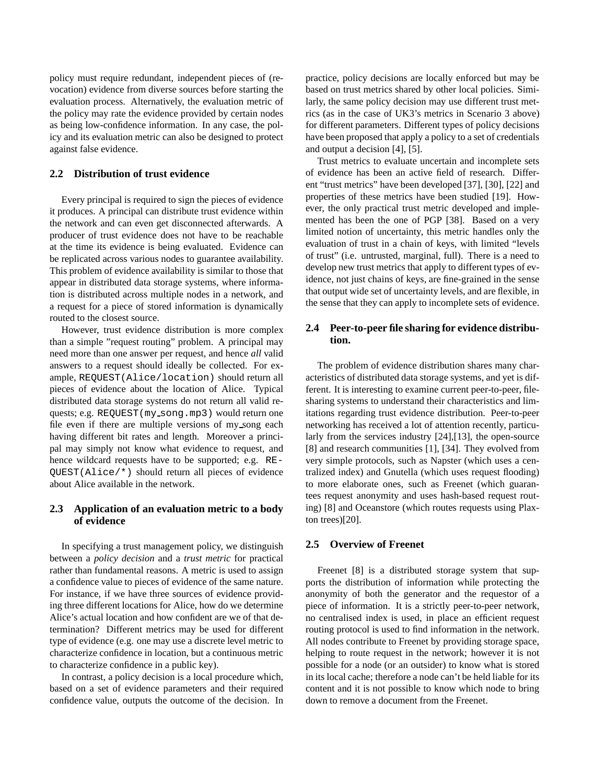policy must require redundant, independent pieces of (revocation) evidence from diverse sources before starting the evaluation process. Alternatively, the evaluation metric of the policy may rate the evidence provided by certain nodes as being low-confidence information. In any case, the policy and its evaluation metric can also be designed to protect against false evidence.

### **2.2 Distribution of trust evidence**

Every principal is required to sign the pieces of evidence it produces. A principal can distribute trust evidence within the network and can even get disconnected afterwards. A producer of trust evidence does not have to be reachable at the time its evidence is being evaluated. Evidence can be replicated across various nodes to guarantee availability. This problem of evidence availability is similar to those that appear in distributed data storage systems, where information is distributed across multiple nodes in a network, and a request for a piece of stored information is dynamically routed to the closest source.

However, trust evidence distribution is more complex than a simple "request routing" problem. A principal may need more than one answer per request, and hence *all* valid answers to a request should ideally be collected. For example, REQUEST(Alice/location) should return all pieces of evidence about the location of Alice. Typical distributed data storage systems do not return all valid requests; e.g. REQUEST(my song.mp3) would return one file even if there are multiple versions of my song each having different bit rates and length. Moreover a principal may simply not know what evidence to request, and hence wildcard requests have to be supported; e.g. RE-QUEST(Alice/\*) should return all pieces of evidence about Alice available in the network.

### **2.3 Application of an evaluation metric to a body of evidence**

In specifying a trust management policy, we distinguish between a *policy decision* and a *trust metric* for practical rather than fundamental reasons. A metric is used to assign a confidence value to pieces of evidence of the same nature. For instance, if we have three sources of evidence providing three different locations for Alice, how do we determine Alice's actual location and how confident are we of that determination? Different metrics may be used for different type of evidence (e.g. one may use a discrete level metric to characterize confidence in location, but a continuous metric to characterize confidence in a public key).

In contrast, a policy decision is a local procedure which, based on a set of evidence parameters and their required confidence value, outputs the outcome of the decision. In practice, policy decisions are locally enforced but may be based on trust metrics shared by other local policies. Similarly, the same policy decision may use different trust metrics (as in the case of UK3's metrics in Scenario 3 above) for different parameters. Different types of policy decisions have been proposed that apply a policy to a set of credentials and output a decision [4], [5].

Trust metrics to evaluate uncertain and incomplete sets of evidence has been an active field of research. Different "trust metrics" have been developed [37], [30], [22] and properties of these metrics have been studied [19]. However, the only practical trust metric developed and implemented has been the one of PGP [38]. Based on a very limited notion of uncertainty, this metric handles only the evaluation of trust in a chain of keys, with limited "levels of trust" (i.e. untrusted, marginal, full). There is a need to develop new trust metrics that apply to different types of evidence, not just chains of keys, are fine-grained in the sense that output wide set of uncertainty levels, and are flexible, in the sense that they can apply to incomplete sets of evidence.

## **2.4 Peer-to-peer file sharing for evidence distribution.**

The problem of evidence distribution shares many characteristics of distributed data storage systems, and yet is different. It is interesting to examine current peer-to-peer, filesharing systems to understand their characteristics and limitations regarding trust evidence distribution. Peer-to-peer networking has received a lot of attention recently, particularly from the services industry [24],[13], the open-source [8] and research communities [1], [34]. They evolved from very simple protocols, such as Napster (which uses a centralized index) and Gnutella (which uses request flooding) to more elaborate ones, such as Freenet (which guarantees request anonymity and uses hash-based request routing) [8] and Oceanstore (which routes requests using Plaxton trees)[20].

## **2.5 Overview of Freenet**

Freenet [8] is a distributed storage system that supports the distribution of information while protecting the anonymity of both the generator and the requestor of a piece of information. It is a strictly peer-to-peer network, no centralised index is used, in place an efficient request routing protocol is used to find information in the network. All nodes contribute to Freenet by providing storage space, helping to route request in the network; however it is not possible for a node (or an outsider) to know what is stored in its local cache; therefore a node can't be held liable for its content and it is not possible to know which node to bring down to remove a document from the Freenet.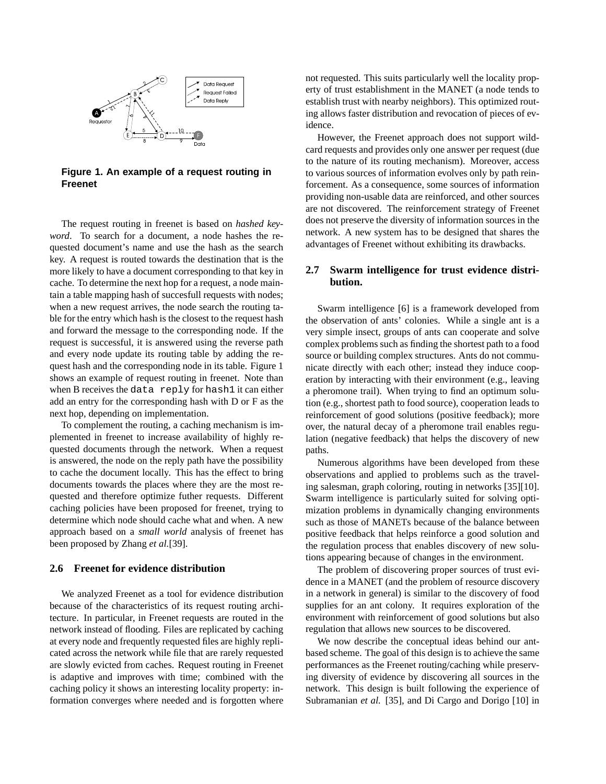

**Figure 1. An example of a request routing in Freenet**

The request routing in freenet is based on *hashed keyword*. To search for a document, a node hashes the requested document's name and use the hash as the search key. A request is routed towards the destination that is the more likely to have a document corresponding to that key in cache. To determine the next hop for a request, a node maintain a table mapping hash of succesfull requests with nodes; when a new request arrives, the node search the routing table for the entry which hash is the closest to the request hash and forward the message to the corresponding node. If the request is successful, it is answered using the reverse path and every node update its routing table by adding the request hash and the corresponding node in its table. Figure 1 shows an example of request routing in freenet. Note than when B receives the data reply for hash1 it can either add an entry for the corresponding hash with D or F as the next hop, depending on implementation.

To complement the routing, a caching mechanism is implemented in freenet to increase availability of highly requested documents through the network. When a request is answered, the node on the reply path have the possibility to cache the document locally. This has the effect to bring documents towards the places where they are the most requested and therefore optimize futher requests. Different caching policies have been proposed for freenet, trying to determine which node should cache what and when. A new approach based on a *small world* analysis of freenet has been proposed by Zhang *et al.*[39].

#### **2.6 Freenet for evidence distribution**

We analyzed Freenet as a tool for evidence distribution because of the characteristics of its request routing architecture. In particular, in Freenet requests are routed in the network instead of flooding. Files are replicated by caching at every node and frequently requested files are highly replicated across the network while file that are rarely requested are slowly evicted from caches. Request routing in Freenet is adaptive and improves with time; combined with the caching policy it shows an interesting locality property: information converges where needed and is forgotten where not requested. This suits particularly well the locality property of trust establishment in the MANET (a node tends to establish trust with nearby neighbors). This optimized routing allows faster distribution and revocation of pieces of evidence.

However, the Freenet approach does not support wildcard requests and provides only one answer per request (due to the nature of its routing mechanism). Moreover, access to various sources of information evolves only by path reinforcement. As a consequence, some sources of information providing non-usable data are reinforced, and other sources are not discovered. The reinforcement strategy of Freenet does not preserve the diversity of information sources in the network. A new system has to be designed that shares the advantages of Freenet without exhibiting its drawbacks.

### **2.7 Swarm intelligence for trust evidence distribution.**

Swarm intelligence [6] is a framework developed from the observation of ants' colonies. While a single ant is a very simple insect, groups of ants can cooperate and solve complex problems such as finding the shortest path to a food source or building complex structures. Ants do not communicate directly with each other; instead they induce cooperation by interacting with their environment (e.g., leaving a pheromone trail). When trying to find an optimum solution (e.g., shortest path to food source), cooperation leads to reinforcement of good solutions (positive feedback); more over, the natural decay of a pheromone trail enables regulation (negative feedback) that helps the discovery of new paths.

Numerous algorithms have been developed from these observations and applied to problems such as the traveling salesman, graph coloring, routing in networks [35][10]. Swarm intelligence is particularly suited for solving optimization problems in dynamically changing environments such as those of MANETs because of the balance between positive feedback that helps reinforce a good solution and the regulation process that enables discovery of new solutions appearing because of changes in the environment.

The problem of discovering proper sources of trust evidence in a MANET (and the problem of resource discovery in a network in general) is similar to the discovery of food supplies for an ant colony. It requires exploration of the environment with reinforcement of good solutions but also regulation that allows new sources to be discovered.

We now describe the conceptual ideas behind our antbased scheme. The goal of this design is to achieve the same performances as the Freenet routing/caching while preserving diversity of evidence by discovering all sources in the network. This design is built following the experience of Subramanian *et al.* [35], and Di Cargo and Dorigo [10] in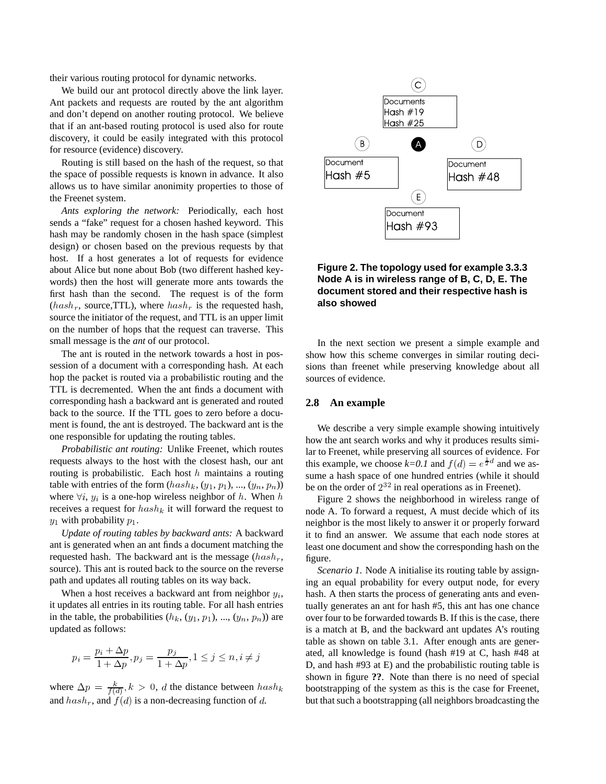their various routing protocol for dynamic networks.

We build our ant protocol directly above the link layer. Ant packets and requests are routed by the ant algorithm and don't depend on another routing protocol. We believe that if an ant-based routing protocol is used also for route discovery, it could be easily integrated with this protocol for resource (evidence) discovery.

Routing is still based on the hash of the request, so that the space of possible requests is known in advance. It also allows us to have similar anonimity properties to those of the Freenet system.

*Ants exploring the network:* Periodically, each host sends a "fake" request for a chosen hashed keyword. This hash may be randomly chosen in the hash space (simplest design) or chosen based on the previous requests by that host. If a host generates a lot of requests for evidence about Alice but none about Bob (two different hashed keywords) then the host will generate more ants towards the first hash than the second. The request is of the form  $(hash<sub>r</sub>, source, TTL)$ , where  $hash<sub>r</sub>$  is the requested hash, source the initiator of the request, and TTL is an upper limit on the number of hops that the request can traverse. This small message is the *ant* of our protocol.

The ant is routed in the network towards a host in possession of a document with a corresponding hash. At each hop the packet is routed via a probabilistic routing and the TTL is decremented. When the ant finds a document with corresponding hash a backward ant is generated and routed back to the source. If the TTL goes to zero before a document is found, the ant is destroyed. The backward ant is the one responsible for updating the routing tables.

*Probabilistic ant routing:* Unlike Freenet, which routes requests always to the host with the closest hash, our ant routing is probabilistic. Each host  $h$  maintains a routing table with entries of the form  $(hash_k, (y_1, p_1), ..., (y_n, p_n))$  be where  $\forall i, y_i$  is a one-hop wireless neighbor of h. When receives a request for  $hash_k$  it will forward the request to  $y_1$  with probability  $p_1$ .

*Update of routing tables by backward ants:* A backward ant is generated when an ant finds a document matching the requested hash. The backward ant is the message  $(hash)$ source). This ant is routed back to the source on the reverse path and updates all routing tables on its way back.

When a host receives a backward ant from neighbor  $y_i$ , it updates all entries in its routing table. For all hash entries in the table, the probabilities  $(h_k, (y_1, p_1), ..., (y_n, p_n))$  are updated as follows:

$$
p_i = \frac{p_i + \Delta p}{1 + \Delta p}, p_j = \frac{p_j}{1 + \Delta p}, 1 \le j \le n, i \ne j
$$

where  $\Delta p = \frac{k}{f(d)}$ ,  $k > 0$ , d the distance between hash and  $hash_r$ , and  $f(d)$  is a non-decreasing function of d.



**Figure 2. The topology used for example 3.3.3 Node A is in wireless range of B, C, D, E. The document stored and their respective hash is also showed**

In the next section we present a simple example and show how this scheme converges in similar routing decisions than freenet while preserving knowledge about all sources of evidence.

#### **2.8 An example**

We describe a very simple example showing intuitively how the ant search works and why it produces results similar to Freenet, while preserving all sources of evidence. For this example, we choose  $k=0.1$  and  $f(d) = e^{\frac{1}{2}d}$  and we assume a hash space of one hundred entries (while it should be on the order of  $2^{32}$  in real operations as in Freenet).

 , figure. Figure 2 shows the neighborhood in wireless range of node A. To forward a request, A must decide which of its neighbor is the most likely to answer it or properly forward it to find an answer. We assume that each node stores at least one document and show the corresponding hash on the

*Scenario 1.* Node A initialise its routing table by assigning an equal probability for every output node, for every hash. A then starts the process of generating ants and eventually generates an ant for hash #5, this ant has one chance over four to be forwarded towards B. If this is the case, there is a match at B, and the backward ant updates A's routing table as shown on table 3.1. After enough ants are generated, all knowledge is found (hash #19 at C, hash #48 at D, and hash #93 at E) and the probabilistic routing table is shown in figure **??**. Note than there is no need of special bootstrapping of the system as this is the case for Freenet, but that such a bootstrapping (all neighbors broadcasting the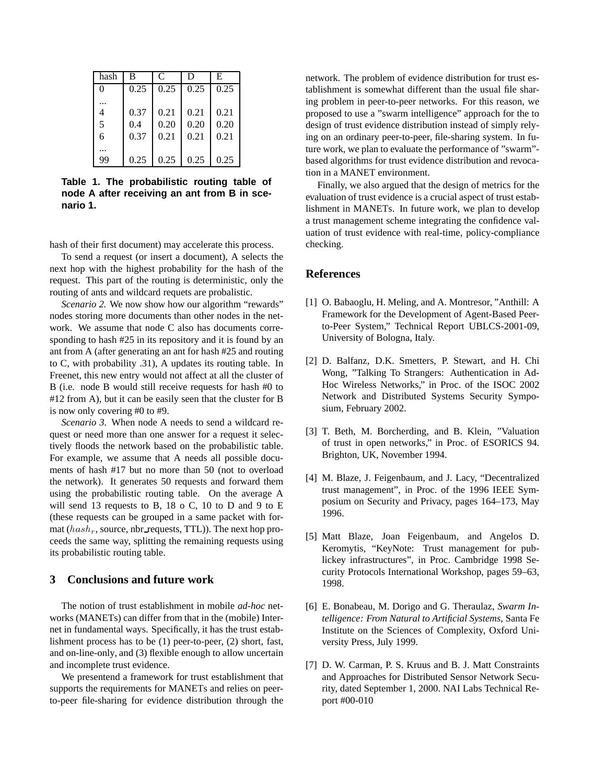| hash | в    | C    | Ð    | Е    |
|------|------|------|------|------|
| 0    | 0.25 | 0.25 | 0.25 | 0.25 |
|      |      |      |      |      |
| 4    | 0.37 | 0.21 | 0.21 | 0.21 |
| 5    | 0.4  | 0.20 | 0.20 | 0.20 |
| 6    | 0.37 | 0.21 | 0.21 | 0.21 |
|      |      |      |      |      |
| 99   | 0.25 | 0.25 | 0.25 | 0.25 |

**Table 1. The probabilistic routing table of node A after receiving an ant from B in scenario 1.**

hash of their first document) may accelerate this process.

To send a request (or insert a document), A selects the next hop with the highest probability for the hash of the request. This part of the routing is deterministic, only the routing of ants and wildcard requets are probalistic.

*Scenario 2.* We now show how our algorithm "rewards" nodes storing more documents than other nodes in the network. We assume that node C also has documents corresponding to hash #25 in its repository and it is found by an ant from A (after generating an ant for hash #25 and routing to C, with probability .31), A updates its routing table. In Freenet, this new entry would not affect at all the cluster of B (i.e. node B would still receive requests for hash #0 to #12 from A), but it can be easily seen that the cluster for B is now only covering #0 to #9.

*Scenario 3.* When node A needs to send a wildcard request or need more than one answer for a request it selectively floods the network based on the probabilistic table. For example, we assume that A needs all possible documents of hash #17 but no more than 50 (not to overload the network). It generates 50 requests and forward them using the probabilistic routing table. On the average A will send 13 requests to B, 18 o C, 10 to D and 9 to E (these requests can be grouped in a same packet with format  $(hash_r, source, nbr\_request, TTL)$ ). The next hop proceeds the same way, splitting the remaining requests using its probabilistic routing table.

## **3 Conclusions and future work**

The notion of trust establishment in mobile *ad-hoc* networks (MANETs) can differ from that in the (mobile) Internet in fundamental ways. Specifically, it has the trust establishment process has to be (1) peer-to-peer, (2) short, fast, and on-line-only, and (3) flexible enough to allow uncertain and incomplete trust evidence.

We presentend a framework for trust establishment that supports the requirements for MANETs and relies on peerto-peer file-sharing for evidence distribution through the network. The problem of evidence distribution for trust establishment is somewhat different than the usual file sharing problem in peer-to-peer networks. For this reason, we proposed to use a "swarm intelligence" approach for the to design of trust evidence distribution instead of simply relying on an ordinary peer-to-peer, file-sharing system. In future work, we plan to evaluate the performance of "swarm" based algorithms for trust evidence distribution and revocation in a MANET environment.

Finally, we also argued that the design of metrics for the evaluation of trust evidence is a crucial aspect of trust establishment in MANETs. In future work, we plan to develop a trust management scheme integrating the confidence valuation of trust evidence with real-time, policy-compliance checking.

#### **References**

- [1] O. Babaoglu, H. Meling, and A. Montresor, "Anthill: A Framework for the Development of Agent-Based Peerto-Peer System," Technical Report UBLCS-2001-09, University of Bologna, Italy.
- [2] D. Balfanz, D.K. Smetters, P. Stewart, and H. Chi Wong, "Talking To Strangers: Authentication in Ad-Hoc Wireless Networks," in Proc. of the ISOC 2002 Network and Distributed Systems Security Symposium, February 2002.
- [3] T. Beth, M. Borcherding, and B. Klein, "Valuation of trust in open networks," in Proc. of ESORICS 94. Brighton, UK, November 1994.
- [4] M. Blaze, J. Feigenbaum, and J. Lacy, "Decentralized trust management", in Proc. of the 1996 IEEE Symposium on Security and Privacy, pages 164–173, May 1996.
- [5] Matt Blaze, Joan Feigenbaum, and Angelos D. Keromytis, "KeyNote: Trust management for publickey infrastructures", in Proc. Cambridge 1998 Security Protocols International Workshop, pages 59–63, 1998.
- [6] E. Bonabeau, M. Dorigo and G. Theraulaz, *Swarm Intelligence: From Natural to Artificial Systems*, Santa Fe Institute on the Sciences of Complexity, Oxford University Press, July 1999.
- [7] D. W. Carman, P. S. Kruus and B. J. Matt Constraints and Approaches for Distributed Sensor Network Security, dated September 1, 2000. NAI Labs Technical Report #00-010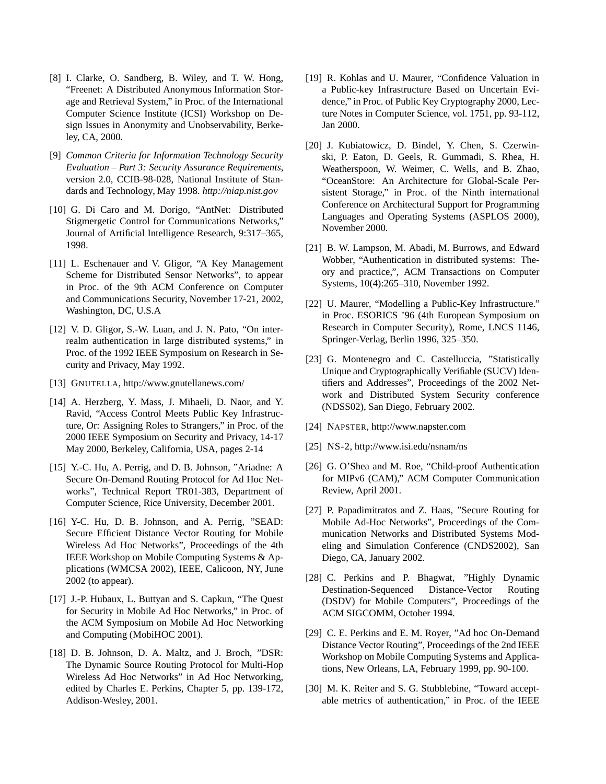- [8] I. Clarke, O. Sandberg, B. Wiley, and T. W. Hong, "Freenet: A Distributed Anonymous Information Storage and Retrieval System," in Proc. of the International Computer Science Institute (ICSI) Workshop on Design Issues in Anonymity and Unobservability, Berkeley, CA, 2000.
- [9] *Common Criteria for Information Technology Security Evaluation – Part 3: Security Assurance Requirements*, version 2.0, CCIB-98-028, National Institute of Standards and Technology, May 1998. *http://niap.nist.gov*
- [10] G. Di Caro and M. Dorigo, "AntNet: Distributed Stigmergetic Control for Communications Networks," Journal of Artificial Intelligence Research, 9:317–365, 1998.
- [11] L. Eschenauer and V. Gligor, "A Key Management Scheme for Distributed Sensor Networks", to appear in Proc. of the 9th ACM Conference on Computer and Communications Security, November 17-21, 2002, Washington, DC, U.S.A
- [12] V. D. Gligor, S.-W. Luan, and J. N. Pato, "On interrealm authentication in large distributed systems," in Proc. of the 1992 IEEE Symposium on Research in Security and Privacy, May 1992.
- [13] GNUTELLA, http://www.gnutellanews.com/
- [14] A. Herzberg, Y. Mass, J. Mihaeli, D. Naor, and Y. Ravid, "Access Control Meets Public Key Infrastructure, Or: Assigning Roles to Strangers," in Proc. of the 2000 IEEE Symposium on Security and Privacy, 14-17 May 2000, Berkeley, California, USA, pages 2-14
- [15] Y.-C. Hu, A. Perrig, and D. B. Johnson, "Ariadne: A Secure On-Demand Routing Protocol for Ad Hoc Networks", Technical Report TR01-383, Department of Computer Science, Rice University, December 2001.
- [16] Y-C. Hu, D. B. Johnson, and A. Perrig, "SEAD: Secure Efficient Distance Vector Routing for Mobile Wireless Ad Hoc Networks", Proceedings of the 4th IEEE Workshop on Mobile Computing Systems & Applications (WMCSA 2002), IEEE, Calicoon, NY, June 2002 (to appear).
- [17] J.-P. Hubaux, L. Buttyan and S. Capkun, "The Quest for Security in Mobile Ad Hoc Networks," in Proc. of the ACM Symposium on Mobile Ad Hoc Networking and Computing (MobiHOC 2001).
- [18] D. B. Johnson, D. A. Maltz, and J. Broch, "DSR: The Dynamic Source Routing Protocol for Multi-Hop Wireless Ad Hoc Networks" in Ad Hoc Networking, edited by Charles E. Perkins, Chapter 5, pp. 139-172, Addison-Wesley, 2001.
- [19] R. Kohlas and U. Maurer, "Confidence Valuation in a Public-key Infrastructure Based on Uncertain Evidence," in Proc. of Public Key Cryptography 2000, Lecture Notes in Computer Science, vol. 1751, pp. 93-112, Jan 2000.
- [20] J. Kubiatowicz, D. Bindel, Y. Chen, S. Czerwinski, P. Eaton, D. Geels, R. Gummadi, S. Rhea, H. Weatherspoon, W. Weimer, C. Wells, and B. Zhao, "OceanStore: An Architecture for Global-Scale Persistent Storage," in Proc. of the Ninth international Conference on Architectural Support for Programming Languages and Operating Systems (ASPLOS 2000), November 2000.
- [21] B. W. Lampson, M. Abadi, M. Burrows, and Edward Wobber, "Authentication in distributed systems: Theory and practice,", ACM Transactions on Computer Systems, 10(4):265–310, November 1992.
- [22] U. Maurer, "Modelling a Public-Key Infrastructure." in Proc. ESORICS '96 (4th European Symposium on Research in Computer Security), Rome, LNCS 1146, Springer-Verlag, Berlin 1996, 325–350.
- [23] G. Montenegro and C. Castelluccia, "Statistically Unique and Cryptographically Verifiable (SUCV) Identifiers and Addresses", Proceedings of the 2002 Network and Distributed System Security conference (NDSS02), San Diego, February 2002.
- [24] NAPSTER, http://www.napster.com
- [25] NS-2, http://www.isi.edu/nsnam/ns
- [26] G. O'Shea and M. Roe, "Child-proof Authentication for MIPv6 (CAM)," ACM Computer Communication Review, April 2001.
- [27] P. Papadimitratos and Z. Haas, "Secure Routing for Mobile Ad-Hoc Networks", Proceedings of the Communication Networks and Distributed Systems Modeling and Simulation Conference (CNDS2002), San Diego, CA, January 2002.
- [28] C. Perkins and P. Bhagwat, "Highly Dynamic Destination-Sequenced Distance-Vector Routing (DSDV) for Mobile Computers", Proceedings of the ACM SIGCOMM, October 1994.
- [29] C. E. Perkins and E. M. Royer, "Ad hoc On-Demand Distance Vector Routing", Proceedings of the 2nd IEEE Workshop on Mobile Computing Systems and Applications, New Orleans, LA, February 1999, pp. 90-100.
- [30] M. K. Reiter and S. G. Stubblebine, "Toward acceptable metrics of authentication," in Proc. of the IEEE